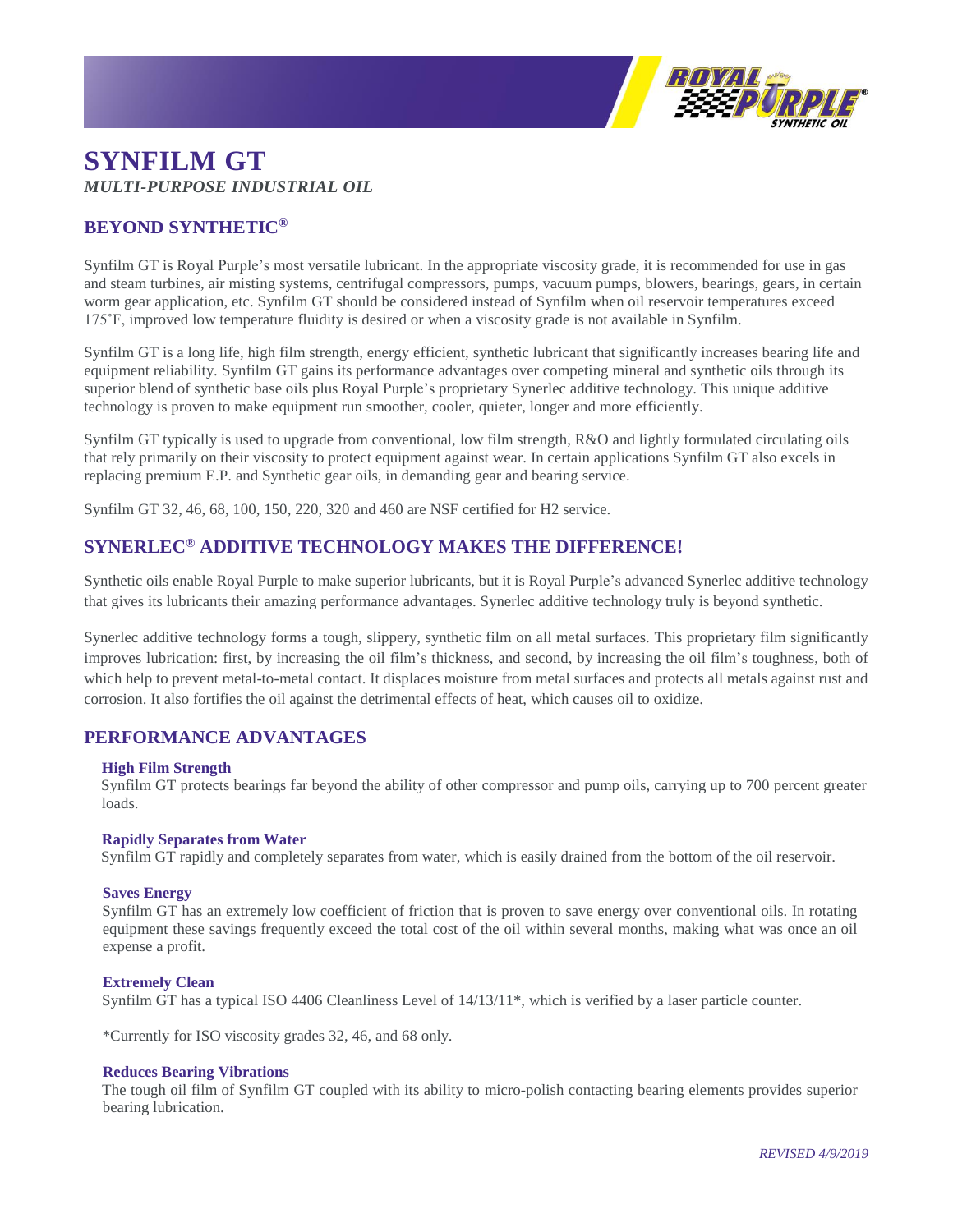

# **SYNFILM GT** *MULTI-PURPOSE INDUSTRIAL OIL*

## **BEYOND SYNTHETIC®**

Synfilm GT is Royal Purple's most versatile lubricant. In the appropriate viscosity grade, it is recommended for use in gas and steam turbines, air misting systems, centrifugal compressors, pumps, vacuum pumps, blowers, bearings, gears, in certain worm gear application, etc. Synfilm GT should be considered instead of Synfilm when oil reservoir temperatures exceed 175˚F, improved low temperature fluidity is desired or when a viscosity grade is not available in Synfilm.

Synfilm GT is a long life, high film strength, energy efficient, synthetic lubricant that significantly increases bearing life and equipment reliability. Synfilm GT gains its performance advantages over competing mineral and synthetic oils through its superior blend of synthetic base oils plus Royal Purple's proprietary Synerlec additive technology. This unique additive technology is proven to make equipment run smoother, cooler, quieter, longer and more efficiently.

Synfilm GT typically is used to upgrade from conventional, low film strength, R&O and lightly formulated circulating oils that rely primarily on their viscosity to protect equipment against wear. In certain applications Synfilm GT also excels in replacing premium E.P. and Synthetic gear oils, in demanding gear and bearing service.

Synfilm GT 32, 46, 68, 100, 150, 220, 320 and 460 are NSF certified for H2 service.

### **SYNERLEC® ADDITIVE TECHNOLOGY MAKES THE DIFFERENCE!**

Synthetic oils enable Royal Purple to make superior lubricants, but it is Royal Purple's advanced Synerlec additive technology that gives its lubricants their amazing performance advantages. Synerlec additive technology truly is beyond synthetic.

Synerlec additive technology forms a tough, slippery, synthetic film on all metal surfaces. This proprietary film significantly improves lubrication: first, by increasing the oil film's thickness, and second, by increasing the oil film's toughness, both of which help to prevent metal-to-metal contact. It displaces moisture from metal surfaces and protects all metals against rust and corrosion. It also fortifies the oil against the detrimental effects of heat, which causes oil to oxidize.

### **PERFORMANCE ADVANTAGES**

#### **High Film Strength**

Synfilm GT protects bearings far beyond the ability of other compressor and pump oils, carrying up to 700 percent greater loads.

#### **Rapidly Separates from Water**

Synfilm GT rapidly and completely separates from water, which is easily drained from the bottom of the oil reservoir.

#### **Saves Energy**

Synfilm GT has an extremely low coefficient of friction that is proven to save energy over conventional oils. In rotating equipment these savings frequently exceed the total cost of the oil within several months, making what was once an oil expense a profit.

#### **Extremely Clean**

Synfilm GT has a typical ISO 4406 Cleanliness Level of 14/13/11\*, which is verified by a laser particle counter.

\*Currently for ISO viscosity grades 32, 46, and 68 only.

#### **Reduces Bearing Vibrations**

The tough oil film of Synfilm GT coupled with its ability to micro-polish contacting bearing elements provides superior bearing lubrication.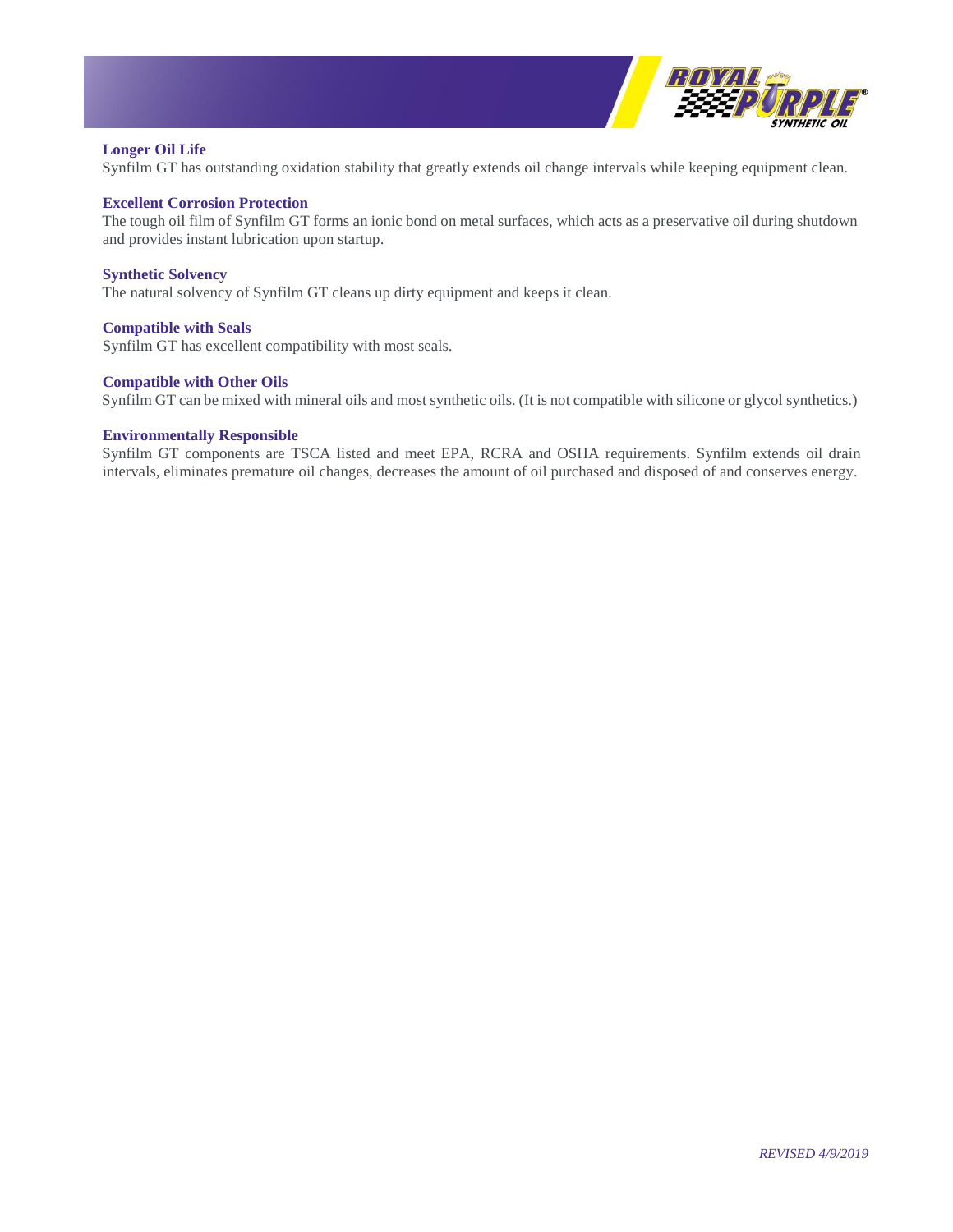

#### **Longer Oil Life**

Synfilm GT has outstanding oxidation stability that greatly extends oil change intervals while keeping equipment clean.

#### **Excellent Corrosion Protection**

The tough oil film of Synfilm GT forms an ionic bond on metal surfaces, which acts as a preservative oil during shutdown and provides instant lubrication upon startup.

#### **Synthetic Solvency**

The natural solvency of Synfilm GT cleans up dirty equipment and keeps it clean.

#### **Compatible with Seals**

Synfilm GT has excellent compatibility with most seals.

#### **Compatible with Other Oils**

Synfilm GT can be mixed with mineral oils and most synthetic oils. (It is not compatible with silicone or glycol synthetics.)

#### **Environmentally Responsible**

Synfilm GT components are TSCA listed and meet EPA, RCRA and OSHA requirements. Synfilm extends oil drain intervals, eliminates premature oil changes, decreases the amount of oil purchased and disposed of and conserves energy.